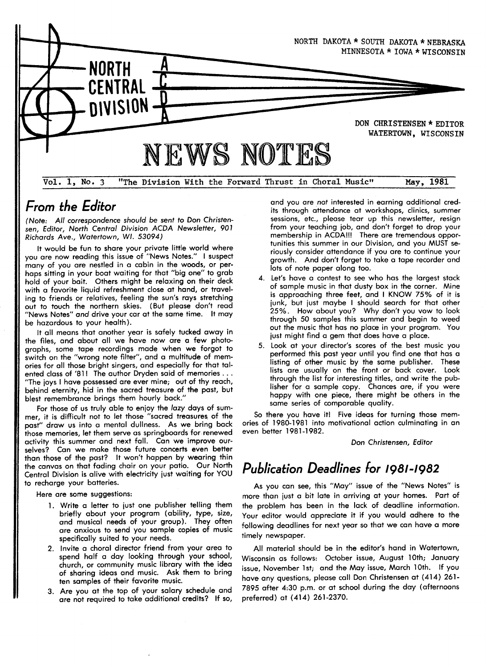

# From the Editor

(Note: All correspondence should be sent to Don Christensen, Editor, North Central Division ACDA Newsletter, 901 Richards Ave., Watertown, WI. 53094)

It would be fun to share your private little world where you are now reading this issue of ''News Notes." I suspect many of you are nestled in a cabin in the woods, or perhaps sitting in your boat waiting for that "big one" to grab hold of your bait. Others might be relaxing on their deck with a favorite liquid refreshment close at hand, or traveling to friends or relatives, feeling the sun's rays stretchina out to touch the northern skies. (But please don't read "News Notes" and drive your car at the same time. It may be hazardous to your health).

It all means that another year is safely tucked away in the files, and about all we have now are a few photographs, some tape recordings made when we forgot to switch on the ''wrong note filter", and a multitude of memories for all those bright singers, and especially for that talented class of '81! The author Dryden said of memories ...<br>"The joys I have possessed are ever mine; out of thy reach, behind eternity, hid in the sacred treasure of the past, but blest remembrance brings them hourly back."

For those of us truly able to enioy the /azy days of summer, it is difficult not to let those "sacred treasures of the past" draw us into a mental dullness. As we bring back those memories, let them serve as springboards for renewed activity this summer and next fall. Can we improve ourselves? Can we make those future concerts even better than those of the past? lt won`t happen by wearing thin the canvas on that fading chair on your patio. Our North Central Division is alive with electricity iust waiting for YOU to recharge your batteries.

Here are some suggestions:

- 1. Write a letter to just one publisher telling them briefly about your program (ability, type, size, cnd musical needs of your group). They often are anxious to send you sample copies of music specifically suited to your needs.
- 2. Invite a choral director friend from your area to spend half a day looking through your school, church, or community music library with the idea of sharing ideas and music. Ask them to bring ten samples of their favorite music.
- 3. Are you at the top of your salary schedule and are not required to take additional credits? If so,

and you are not interested in earning additional credits through attendance at workshops, clinics, summer sessions, etc., please tear up this newsletter, resign from your teaching job, and don't forget to drop your membership in ACDA!!! There are tremendous opportunities this summer in our Division, and you MUST seriously consider attendance if you are to continue your growth. And don't forget to take a tape recorder and lots of note paper along too.

- 4. Let`s have a contest to see who has the largest stack of sample music in that dusty box in the corner. Mine is approaching three feet, and I KNOW 75% of it is junk, but just maybe I should search for that other 25%. How about you? Why don't you vow to look through 50 samples this summer and begin to weed out the music that has no place in your program. You iust might find a gem that does have a place.
- 5. Look at your director's scores of the best music you performed this past year until you find one that has a listing of other music by the same publisher. These lists are usually on the front or back cover. Look through the list for interesting titles, and write the publisher for a sample copy. Chances are, if you were happy with one piece, there might be others in the same series of comparable quality.

So there you have it! Five ideas for turning those memories of 1980-1981 into motivational action culminating in an even better 1981-1982.

#### Don Christensen, Editor

# Publication Deadlines for 1981-1982

As you can see, this ''May" issue of the ''News Notes" is more than iust a bit late in arriving at your homes. Part of the problem has been in the lack of deadline information. Your editor would appreciate it if you would adhere to the following deadlines for next year so that we can have a more timely newspaper.

All material should be in the editor's hand in Watertown, Wisconsin as follows: October issue, August 10th; January issue, November lst; and the May issue, March loth. If you have any questions, please call Don Christensen at (414) 261- 7895 after 4:30 p.m. or at school during the day (afternoons preferred) at (414) 261-2370.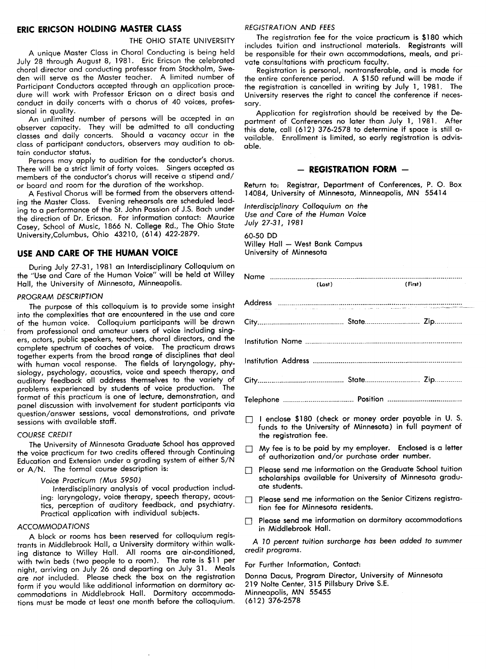## ERIC ERICSON HOLD]NC MASTER CLASS

#### THE OHIO STATE UNIVERSITY

A unique Master Class in Choral Conducting is being held July 28 through August 8,1981. Eric Ericson the celebrated choral director and conducting professor from Stockholm, Sweden will serve as the Master teacher. A limited number of Participant Conductors accepted through an application procedure will work with Professor Ericson on a direct basis and conduct in daily concerts with a chorus of 40 voices, professional in quality.

An unlimited number of persons will be accepted in an observer capacity. They will be admitted to all conducting classes and daily concerts. Should a vacancy occur in the class of participant conductors, observers may audition to obtain conductor status.

Persons may apply to audition for the conductor's chorus. There will be a strict limit of forty voices. Singers accepted as members of the conductor's chorus will receive a stipend and/ or board and room for the duration of the workshop.

A Festival Chorus will be formed' from the observers attending the Master Class. Evening rehearsals are scheduled leading to a performance of the St. John Passion of J.S. Bach under the direction of Dr. Ericson. For information contact: Maurice Casey, School of Music,1866 N. College Rd., The Ohio State University,Columbus, Ohio 43210, (614) 422-2879.

# USE AND CARE OF THE HUMAN VOICE

During July 27-31,1981 an Interdisciplinary Colloquium on the "Use and Care of the Human Voice" will be held at Willey Hall, the University of Minnesota, Minneapolis.

#### PROGRAM DESCRIPTION

The purpose of this colloquium is to provide some insight into the complexities that are encountered in the use and care of the human voice. Colloquium participants will be drawn from professional and amateur users of voice including singers, actors, public speakers, teachers, choral directors, and the complete spectrum of coaches of voice. The practicum draws together experts from the broad range of disciplines that deal with human vocal response. The fields of laryngology, physiology, psychology, acoustics, voice and speech therapy, and auditory feedback all address themselves to the variety of problems experienced by students of voice production. The format of this practicum is one of lecture, demonstration, and panel discussion with involvement for student participants via question/answer sessions, vocal demonstrations, and private sessions with available staff.

#### COURSE CREDIT

The University of Minnesota Graduate School has approved the voice practicum for two credits offered through Continuing Education and Extension under a grading system of either S/N or A/N. The formal course description is:

#### Voice Practicum (Mus 5950)

Interdisciplinary analysis of vocal production including: laryngology, voice therapy, speech therapy, acoustics, perception of auditory feedback, and psychiatry. Practical application with individual subiects.

#### ACCOMMODATIONS

A block or rooms has been reserved for colloquium registrants in Middlebrook Hall, a University dormitory within walking distance to Willey Hall. All rooms are air-conditioned, with twin beds (two people to a room). The rate is \$11 per night, arriving on July 26 and departing on July 31. Meals are not included. Please check the box on the registration form if you would like additional information on dormitory accommodations in Middlebrook Hall. Dormitory accommodations must be made at least one month before the colloquium.

#### REGISTRATION AND FEES

The registration fee for the voice practicum is \$180 which includes tuition and instructional materials. Registrants will be responsible for their own accommodations, meals, and private consultations with practicum faculty.

Registration is personal, nontransferable, and is made for the entire conference period. A \$150 refund will be made if the registration is cancelled in writing by July 1,1981. The University reserves the right to cancel the conference if necessary.

Application for registration should be received by the Department of Conferences no later than July 1, 1981. After this date, call (612) 376-2578 to determine if space is still available. Enrollment is limited, so early registration is advisable.

#### - REGISTRATION FORM -

Return to: Registrar, Department of Conferences, P. 0. Box 14084, University of Minnesota, Minneapolis, MN 55414

Interdisciplinary Colloquium on the Use and Care of the Human Voice July 27-31,1981

60-50 DD Willey Hall - West Bank Campus University of Minnesota

| (Last) | (First) | $\mathcal{L}^{\text{max}}_{\text{max}}$ and $\mathcal{L}^{\text{max}}_{\text{max}}$ |
|--------|---------|-------------------------------------------------------------------------------------|
|        |         |                                                                                     |
|        |         |                                                                                     |
|        |         |                                                                                     |
|        |         |                                                                                     |
|        |         |                                                                                     |
|        |         |                                                                                     |

- I I enclose \$180 (check or money order payable in U. S. funds to the University of Minnesota) in full payment of the registration fee.
- I My fee is to be paid by my employer. Enclosed is a letter of authorization and/or purchase order number.
- I Please send me information on the Graduate School tuition scholarships available for University of Minnesota graduate students.
- $\Box$  Please send me information on the Senior Citizens registration fee for Minnesota residents.
- I Please send me information on dormitory accommodations in Middlebrook Hall.

A 10 percent tuition surcharge has been added to summer credit programs.

For Further Information, Contact:

Donna Dacus, Program Director, University of Minnesota 219 Nolte Center, 315 Pillsbury Drive S.E. Minneapolis, MN 55455 (612) 376-2578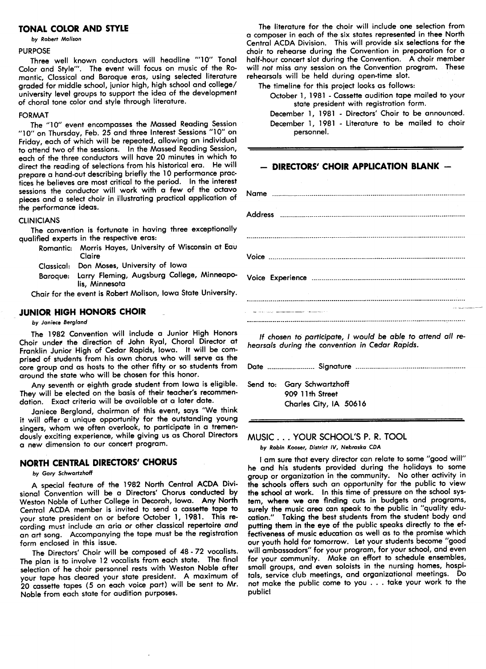#### TONAL COLOR AND STYLE

#### by Robert Molison

#### PURPOSE

Three well known conductors will headline "10" Tonal Color and Style'''. The event will focus on music of the Romantic, Classical and Baroque eras, using selected literature graded for middle school, iunior high, high school and college/ university level groups to support the idea of the development of choral tone color and style through literature.

#### **FORMAT**

The ''10" event encompasses the Massed Reading Session "10" on Thursday, Feb. 25 and three Interest Sessions ''10" on Friday, each of which will be repeated, allowing an individual to attend two of the sessions. In the Massed Reading Session, each of the three conductors will have 20 minutes in which to direct the reading of selections from his historical era. He will prepare a hand-out describing briefly the 10 performance practices he believes are most critical to the period. In the interest sessions the conductor will work with a few of the octavo pieces and a select choir in illustrating practical application of the performance ideas.

#### CLINICIANS

The convention is fortunate in having three exceptionally qualified experts in the respective eras:

- Romantic: Morris Hayes, University of Wisconsin at Eau Claire
	- Classical: Don Moses, University of Iowa
	- Baroque: Larry Fleming, Augsburg College, Minneapolis, Minnesota

Chair for the event is Robert Molison, Iowa State University.

#### JUNIOR HICH HONORS CHOIR

#### by Janiece Bergland

The 1982 Convention will include a Junior High Honors Choir under the direction of John Ryal, Choral Director at Franklin Junior High of Cedar Rapids, Iowa. It will be comprised of students from his own chorus who will serve as the core group and as hosts to the other fifty or so students from around the state who will be chosen for this honor.

Any seventh or eighth grade student from Iowa is eligible. They will be elected on the basis of their teacher's recommendation. Exact criteria will be available at a later date.

Janiece Bergland, chairman of this event, says '`We think it will offer a unique opportunity for the outstanding young singers, whom we often overlook, to participate in a tremendously exciting experience, while giving us as Choral Directors a new dimension to our concert program.

## NORTH CENTRAL DIRECTORS' CHORUS

#### by Gary Schwartzhoff

A special feature of the 1982 North Central ACDA Divisional Convention will be a Directors' Chorus conducted by Weston Noble of Luther College in Decorah, Iowa. Any North Central ACDA member is invited to send a cassette tape to your state president on or before October I,1981. This recording must include an aria or other classical repertoire and an art song. Accompanying the tape must be the registration form enclosed in this issue.

The Directors' Choir will be composed of 48 - 72 vocalists. The plan is to involve 12 vocalists from each state. The.final selection of he choir personnel rests with Weston Noble after your tape has cleared your state president. A maximum of 20 cassette tapes (5 on each voice port) will be sent to Mr. Noble from each state for audition purposes.

The literature for the choir will include one selection from a composer in each of the six states represented in thee North Central ACDA Division. This will provide six selections for the choir to rehearse during the Convention in preparation for a half-hour concert slot during the Convention. A choir member will not miss any session on the Convention program. These rehearsals will be held during open-time slot.

The timeline for this project looks os follows:

October 1, 1981 -Cassette audition tape mailed to your state president with registration form.

December 1, 1981 - Directors' Choir to be announced. December 1, 1981 - Literature to be mailed to choir personnel.

## - DIRECTORS' CHOIR APPLICATION BLANK -

| .<br>1980 - <del>Maria Maria Maria Maria Maria (</del> |  |  |
|--------------------------------------------------------|--|--|

If chosen to participate, I would be able to attend all rehearsals during the convention in Cedar Rapids.

|  | Send to: Gary Schwartzhoff<br>909 11th Street<br>Charles City, IA 50616 |  |
|--|-------------------------------------------------------------------------|--|

#### MUSIC . . . YOUR SCHOOL'S P. R. TOOL

by Robin Kooser, District IV, Nebraska CDA

I am sure that every director can relate to some "good will" he and his students provided during the holidays to some group or organization in the community. No other activity in the schools offers such an opportunity for the public to view the school at work. In this time of pressure on the school system, where we are finding cuts in budgets and programs, surely the music area can speak to the public in "quality education." Taking the best students from the student body and putting them in the eye of the public speaks directly to the effectiveness of music education as well as to the promise which our youth hold for tomorrow. Let your students become "good will ambassadors" for your program, for your school, and even for your community. Make an effort to schedule ensembles, small groups, and even soloists in the nursing homes, hospitals, service club meetings, and organizational meetings. Do not make the public come to you . . . take your work to the public!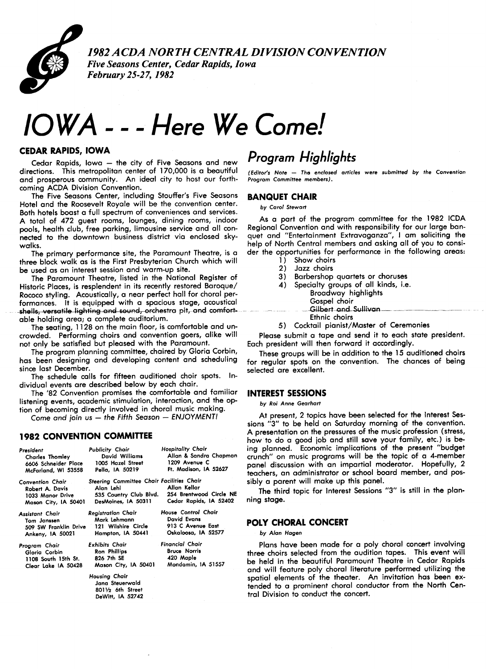

1982 ACDA NORTH CENTRAL DIVISION CONVENTION Five Seasons Center, Cedar Rapids, Iowa February 25-27,1982

# lowA -- - Here We Come!

#### CEDAR RAPIDS, IOWA

Cedar Rapids, Iowa  $-$  the city of Five Seasons and new directions. This metropolitan center of 170,000 is a beautiful and prosperous community. An ideal city to host our forthcoming ACDA Division Convention.

The Five Seasons Center, including Stouffer's Five Seasons Hotel and the Roosevelt Royale will be the convention center. Both hotels boast a full spectrum of conveniences and services. A total of 472 guest rooms, lounges, dining. rooms, indoor pools, health club, free parking, limousine service and all connected to the downtown business district via enclosed skywalks.

The primary performance site, the Paramount Theatre, is a three block walk as is the First Presbyterian Church which will be used as an interest session and warm-up site.

The Paramount Theatre, listed in the National Register of Historic Places, is resplendent in its recently restored Baroque/ Rococo styling. Acoustically, a near perfect hall for choral performances. It is equipped with a spacious stage, acoustical shells, versatile lighting and sound, orchestra pit, and comfortable holding area; a complete auditorium.

The seating, 1128 on the main floor, is comfortable and uncrowded. Performing choirs and convention goers, alike will not only be satisfied but pleased with the Paramount.

The program planning committee, chaired by Gloria Corbin, has been designing and developing content and scheduling since last December.

The schedule calls for fifteen auditioned choir spots. Individual events are described below by each chair.

The '82 Convention promises the comfortable and familiar listening events, academic stimulation, interaction, and the option of becoming directly involved in choral music making.

Come and join  $us$  - the Fifth Season - ENJOYMENT!

#### 1982 CONVENTION COMMITTEE

| President<br>Charles Thomley<br>McFarland, WI 53558                                     | Publicity Chair<br>David Williams<br>6606 Schneider Place 1005 Hazel Street<br>Pella, IA 50219              | <b>Hospitality Chair</b><br>Allan & Sandra Chapman<br>1209 Avenue C<br>Ft. Madison, IA 52627                 |
|-----------------------------------------------------------------------------------------|-------------------------------------------------------------------------------------------------------------|--------------------------------------------------------------------------------------------------------------|
| <b>Convention Chair</b><br>Robert A. Davis<br>1033 Manor Drive<br>Mason City, IA 50401  | Steering Committee Chair Facilities Chair<br>Alan Lehl                                                      | Allan Kellar<br>535 Country Club Blvd. 254 Brentwood Circle NE<br>DesMoines, IA 50311 Cedar Rapids, IA 52402 |
| <b>Assistant Chair</b><br>Tom Janssen<br>Ankeny, IA 50021                               | <b>Registration Chair</b><br>Mark Lehmann<br>509 SW Franklin Drive 121 Wilshire Circle<br>Hampton, IA 50441 | House Control Chair<br>David Evans<br>913 C Avenue East<br>Oskaloosa, IA 52577                               |
| Program Chair<br>Gloria Corbin<br>1108 South 15th St. 826 7th SE<br>Clear Lake IA 50428 | Exhibits Chair<br>Ron Phillips<br>Housing Chair                                                             | <b>Financial Chair</b><br><b>Bruce Norris</b><br>420 Maple<br>Mason City, IA 50401 Mondamin, IA 51557        |
|                                                                                         | Jana Steuerwald<br>8011/2 6th Street<br>DeWitt, IA 52742                                                    |                                                                                                              |

# Program Highlights

(Editor's Note - The enclosed articles were submitted by the Convention Program Committee members).

### BANQUET CHAIR

by Carol Stewart

As a part of the program committee for the 1982 lcDA Regional Convention and with responsibility for our large banquet and "Entertainment Extravaganza", I am soliciting the help of North Central members and asking all of you to consider the opportunities for performance in the following areas:

- 1) Show choirs
- 2) Jazz choirs
- 3) Barbershop quartets or choruses
- 4) Specialty groups of all kinds, i.e.
	- Broadway highlights
	- Gospel choir
	- Gilbert\_and\_Sullivan.
	- Ethnic choirs
- 5) Cocktail pianist/Master of Ceremonies

Please submit a tape and send it to each state president. Each president will then forward it accordingly.

These groups will be in addition to the 15 auditioned choirs for regular spots on the convention. The chances of being selected are excellent.

#### INTEREST SESSIONS

by Roi Anne Gearhart

At present, 2 topics have been selected for the Interest Sessions ''3'' to be held on Saturday morning of the convention. A presentation on the pressures of the music profession (stress, how to do a good iob and still save your family, etc.) is being planned. Economic implications of the present ''budget crunch" on music programs will be the topic of a 4-member panel discussion with an impartial moderator. Hopefully, 2 teachers, an administrator or school board member, and possibly a parent will make up this panel.

The third topic for Interest Sessions "3" is still in the planning stage.

#### POLY CHORAL CONCERT

by Alan Hagen

Plans have been made for a poly choral concert involving three choirs selected from the audition tapes. This event will be held in the beautiful Paramount Theatre in Cedar Rapids and will feature poly choral literature performed utilizing the spatial elements of the theater. An invitation has been extended to a prominent choral conductor from the North Central Division to conduct the concert.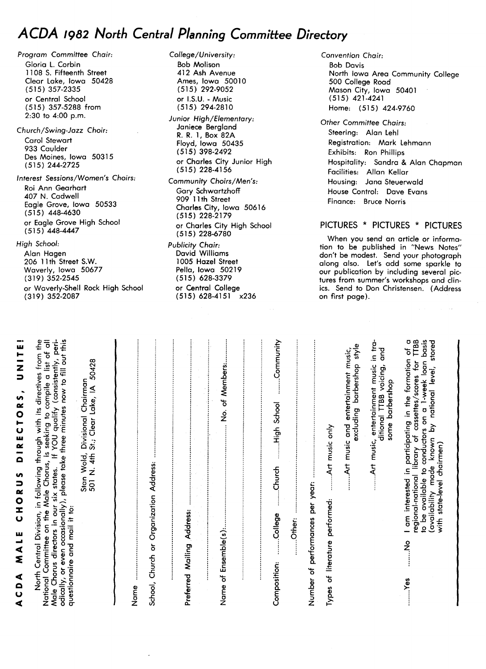# ACDA 1982 North Central Planning Committee Directory

Program Committee Chair: Gloria L. Corbin 1108 S. Fifteenth Street clear Lake, Iowa 50428 (515) 357-2335 or Central School (515) 357-5288 from 2:30 to 4:00 p.m.

Church/Swing-Jazz Choir: Carol Stewart 933 Caulder Des Moines, Iowa 50315 (515) 244-2725

Interest Sessions/Women`s Choirs: Roi Ann Gearhart 407 N. Cadwell Eagle Grove, Iowa 50533 (515) 448-4630 or Eagle Grove High School (515) 448-4447

#### High School: Alan Hagen 20611th Street S.W. Waverly, Iowa 50677 (319) 352-2545 or Waverly-Shell Rock High School (319) 352-2087

College/University: Bob Molison 412 Ash Avenue Ames, Iowa 50010 (515) 292-9052 or I.S.U. -Music (515) 294-2810 Junior High/Elementary: Janiece Bergland R. R.I, Box 82A Floyd, Iowa 50435 (515) 398-2492 or Charles City Junior High (515) 228-4156 Community Choirs/Men's: Gory Schwartzhoff 909 11th Street Charles City, Iowa 50616 (515) 228-2179 or Charles City High School

(515) 228-6780 Publicity Chair: David Williams loos Hazel Street Pella, Iowa 50219 (515) 628-3379 or Central College (515) 628-4151 x236 Convention Chair: Bob Davis North Iowa Area Community College 500 College Road Mason City, Iowa 50401 (515) 421-4241 Home: (515) 424-9760

Other Committee Chairs: Steering: Alan Lehl Registration: Mark Lehmann Exhibits: Ron phillips Hospitality: Sandra & Alan Chapman Facilities: Allan Kellar Housing: Jana steuerwald House Control: Dave Evans Finance: Bruce Norris

## PICTURES \* PICTURES \* PICTURES

When you send an article or information to be published in ''News Notes" don't be modest. Send your photograph along also. Let's add some sparkle to our publication by including several pictures from summer's workshops and clinics. Send to Don Christensen. (Address on first page).

| ココス<br>t<br>⊇<br>)<br>I                    | フースmハー コスツ<br>しけつとり                                                                                                                                                                                                                                                                                                     |
|--------------------------------------------|-------------------------------------------------------------------------------------------------------------------------------------------------------------------------------------------------------------------------------------------------------------------------------------------------------------------------|
| questionnaire and mail it to:              | odically, or even occasionally), please take three minutes now to fill out this<br>North Central Division, in following through with its directives from the<br>National Committee on the Male Chorus, is seeking to compile a list of all<br>Male Chorus directors in our six states. If YOU qualify (consistently, pe |
|                                            | 50428<br>Divisional Chairman<br>501 N. 4th St.; Clear Lake, IA<br>Stan Wold,                                                                                                                                                                                                                                            |
| Name                                       |                                                                                                                                                                                                                                                                                                                         |
| Church or Organization Address:<br>School, |                                                                                                                                                                                                                                                                                                                         |
| Mailing Address:<br>Preferred              |                                                                                                                                                                                                                                                                                                                         |
| Name of Ensemble(s):                       | No. of Members:                                                                                                                                                                                                                                                                                                         |
|                                            |                                                                                                                                                                                                                                                                                                                         |
| College<br>Other:<br>Composition:          | Community<br>High School<br>.Church                                                                                                                                                                                                                                                                                     |
| Number of performances per year:           |                                                                                                                                                                                                                                                                                                                         |
| Types of literature performed:             | Art music only                                                                                                                                                                                                                                                                                                          |
|                                            | excluding barbershop style<br>Art music and entertainment music,                                                                                                                                                                                                                                                        |
|                                            | Art music, entertainment music in tra-<br>and<br>ditional TTBB voicing,<br>some barbershop                                                                                                                                                                                                                              |
| $\overline{\mathbf{c}}$<br>ş<br>Yes        | Ò<br>TTBB<br>basis<br>stored<br>am interested in participating in the formation of<br>1-week loan<br>regional-national library of cassettes/scores for<br>known by national level,<br>be available to conductors on a<br>with state-level chairmen)<br>(availability made                                               |
|                                            |                                                                                                                                                                                                                                                                                                                         |